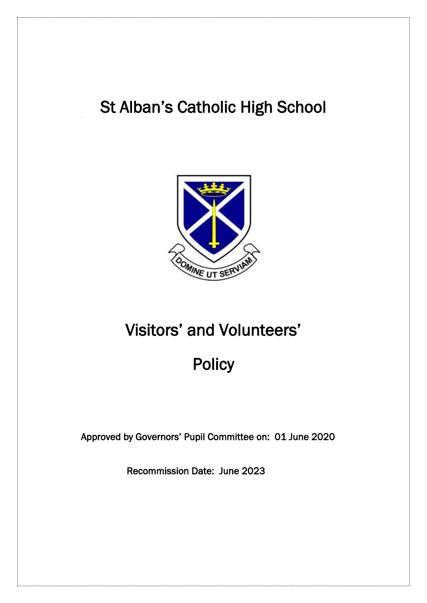# St Alban's Catholic High School



# Visitors' and Volunteers'

# **Policy**

Approved by Governors' Pupil Committee on: 01 June 2020

Recommission Date: June 2023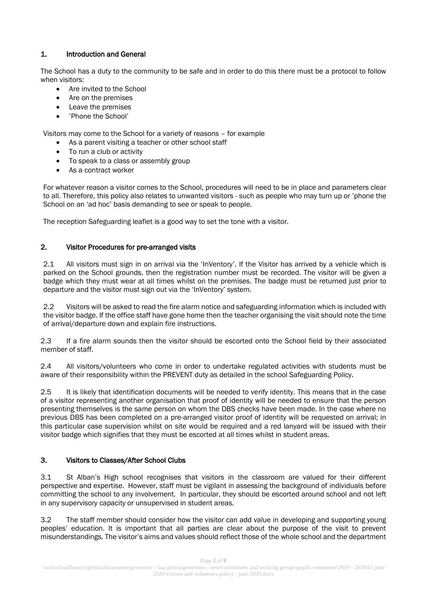# 1. Introduction and General

The School has a duty to the community to be safe and in order to do this there must be a protocol to follow when visitors:

- Are invited to the School
- Are on the premises
- Leave the premises
- 'Phone the School'

Visitors may come to the School for a variety of reasons – for example

- As a parent visiting a teacher or other school staff
- To run a club or activity
- To speak to a class or assembly group
- As a contract worker

For whatever reason a visitor comes to the School, procedures will need to be in place and parameters clear to all. Therefore, this policy also relates to unwanted visitors - such as people who may turn up or 'phone the School on an 'ad hoc' basis demanding to see or speak to people.

The reception Safeguarding leaflet is a good way to set the tone with a visitor.

# 2. Visitor Procedures for pre-arranged visits

2.1 All visitors must sign in on arrival via the 'InVentory'. If the Visitor has arrived by a vehicle which is parked on the School grounds, then the registration number must be recorded. The visitor will be given a badge which they must wear at all times whilst on the premises. The badge must be returned just prior to departure and the visitor must sign out via the 'InVentory' system.

2.2 Visitors will be asked to read the fire alarm notice and safeguarding information which is included with the visitor badge. If the office staff have gone home then the teacher organising the visit should note the time of arrival/departure down and explain fire instructions.

2.3 If a fire alarm sounds then the visitor should be escorted onto the School field by their associated member of staff.

2.4 All visitors/volunteers who come in order to undertake regulated activities with students must be aware of their responsibility within the PREVENT duty as detailed in the school Safeguarding Policy.

2.5 It is likely that identification documents will be needed to verify identity. This means that in the case of a visitor representing another organisation that proof of identity will be needed to ensure that the person presenting themselves is the same person on whom the DBS checks have been made. In the case where no previous DBS has been completed on a pre-arranged visitor proof of identity will be requested on arrival; in this particular case supervision whilst on site would be required and a red lanyard will be issued with their visitor badge which signifies that they must be escorted at all times whilst in student areas.

#### 3. Visitors to Classes/After School Clubs

3.1 St Alban's High school recognises that visitors in the classroom are valued for their different perspective and expertise. However, staff must be vigilant in assessing the background of individuals before committing the school to any involvement. In particular, they should be escorted around school and not left in any supervisory capacity or unsupervised in student areas.

3.2 The staff member should consider how the visitor can add value in developing and supporting young peoples' education. It is important that all parties are clear about the purpose of the visit to prevent misunderstandings. The visitor's aims and values should reflect those of the whole school and the department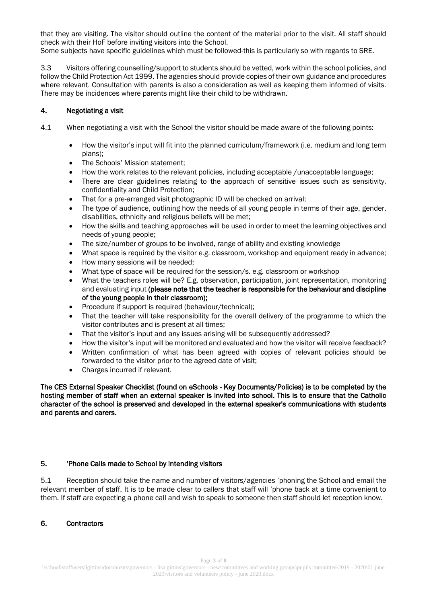that they are visiting. The visitor should outline the content of the material prior to the visit. All staff should check with their HoF before inviting visitors into the School.

Some subjects have specific guidelines which must be followed-this is particularly so with regards to SRE.

3.3 Visitors offering counselling/support to students should be vetted, work within the school policies, and follow the Child Protection Act 1999. The agencies should provide copies of their own guidance and procedures where relevant. Consultation with parents is also a consideration as well as keeping them informed of visits. There may be incidences where parents might like their child to be withdrawn.

## 4. Negotiating a visit

- 4.1 When negotiating a visit with the School the visitor should be made aware of the following points:
	- How the visitor's input will fit into the planned curriculum/framework (i.e. medium and long term plans);
	- The Schools' Mission statement;
	- How the work relates to the relevant policies, including acceptable /unacceptable language;
	- There are clear guidelines relating to the approach of sensitive issues such as sensitivity, confidentiality and Child Protection;
	- That for a pre-arranged visit photographic ID will be checked on arrival;
	- The type of audience, outlining how the needs of all young people in terms of their age, gender, disabilities, ethnicity and religious beliefs will be met;
	- How the skills and teaching approaches will be used in order to meet the learning objectives and needs of young people;
	- The size/number of groups to be involved, range of ability and existing knowledge
	- What space is required by the visitor e.g. classroom, workshop and equipment ready in advance;
	- How many sessions will be needed;
	- What type of space will be required for the session/s. e.g. classroom or workshop
	- What the teachers roles will be? E.g. observation, participation, joint representation, monitoring and evaluating input (please note that the teacher is responsible for the behaviour and discipline of the young people in their classroom);
	- Procedure if support is required (behaviour/technical);
	- That the teacher will take responsibility for the overall delivery of the programme to which the visitor contributes and is present at all times;
	- That the visitor's input and any issues arising will be subsequently addressed?
	- How the visitor's input will be monitored and evaluated and how the visitor will receive feedback?
	- Written confirmation of what has been agreed with copies of relevant policies should be forwarded to the visitor prior to the agreed date of visit;
	- Charges incurred if relevant.

The CES External Speaker Checklist (found on eSchools - Key Documents/Policies) is to be completed by the hosting member of staff when an external speaker is invited into school. This is to ensure that the Catholic character of the school is preserved and developed in the external speaker's communications with students and parents and carers.

#### 5. 'Phone Calls made to School by intending visitors

5.1 Reception should take the name and number of visitors/agencies 'phoning the School and email the relevant member of staff. It is to be made clear to callers that staff will 'phone back at a time convenient to them. If staff are expecting a phone call and wish to speak to someone then staff should let reception know.

#### 6. Contractors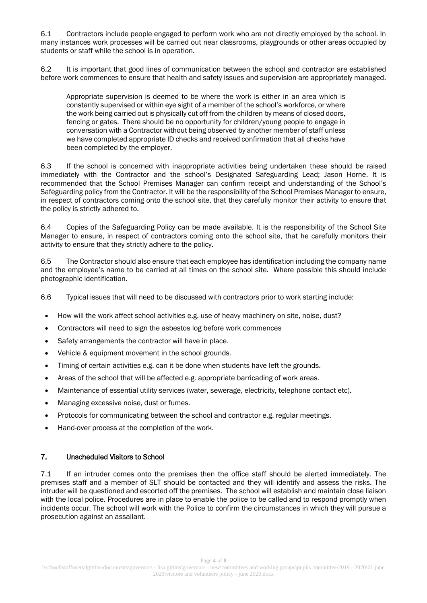6.1 Contractors include people engaged to perform work who are not directly employed by the school. In many instances work processes will be carried out near classrooms, playgrounds or other areas occupied by students or staff while the school is in operation.

6.2 It is important that good lines of communication between the school and contractor are established before work commences to ensure that health and safety issues and supervision are appropriately managed.

Appropriate supervision is deemed to be where the work is either in an area which is constantly supervised or within eye sight of a member of the school's workforce, or where the work being carried out is physically cut off from the children by means of closed doors, fencing or gates. There should be no opportunity for children/young people to engage in conversation with a Contractor without being observed by another member of staff unless we have completed appropriate ID checks and received confirmation that all checks have been completed by the employer.

6.3 If the school is concerned with inappropriate activities being undertaken these should be raised immediately with the Contractor and the school's Designated Safeguarding Lead; Jason Horne. It is recommended that the School Premises Manager can confirm receipt and understanding of the School's Safeguarding policy from the Contractor. It will be the responsibility of the School Premises Manager to ensure, in respect of contractors coming onto the school site, that they carefully monitor their activity to ensure that the policy is strictly adhered to.

6.4 Copies of the Safeguarding Policy can be made available. It is the responsibility of the School Site Manager to ensure, in respect of contractors coming onto the school site, that he carefully monitors their activity to ensure that they strictly adhere to the policy.

6.5 The Contractor should also ensure that each employee has identification including the company name and the employee's name to be carried at all times on the school site. Where possible this should include photographic identification.

6.6 Typical issues that will need to be discussed with contractors prior to work starting include:

- How will the work affect school activities e.g. use of heavy machinery on site, noise, dust?
- Contractors will need to sign the asbestos log before work commences
- Safety arrangements the contractor will have in place.
- Vehicle & equipment movement in the school grounds.
- Timing of certain activities e.g. can it be done when students have left the grounds.
- Areas of the school that will be affected e.g. appropriate barricading of work areas.
- Maintenance of essential utility services (water, sewerage, electricity, telephone contact etc).
- Managing excessive noise, dust or fumes.
- Protocols for communicating between the school and contractor e.g. regular meetings.
- Hand-over process at the completion of the work.

#### 7. Unscheduled Visitors to School

7.1 If an intruder comes onto the premises then the office staff should be alerted immediately. The premises staff and a member of SLT should be contacted and they will identify and assess the risks. The intruder will be questioned and escorted off the premises. The school will establish and maintain close liaison with the local police. Procedures are in place to enable the police to be called and to respond promptly when incidents occur. The school will work with the Police to confirm the circumstances in which they will pursue a prosecution against an assailant.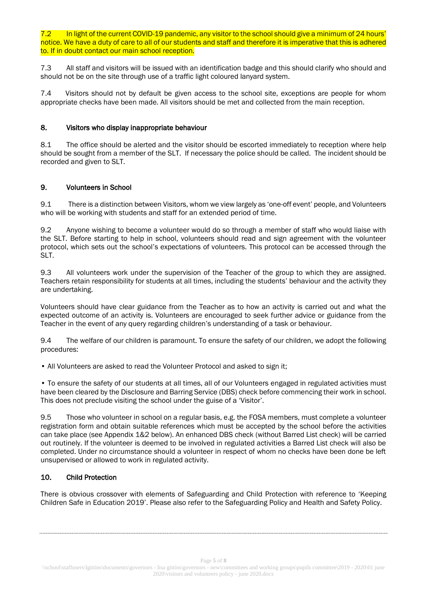In light of the current COVID-19 pandemic, any visitor to the school should give a minimum of 24 hours' notice. We have a duty of care to all of our students and staff and therefore it is imperative that this is adhered to. If in doubt contact our main school reception.

7.3 All staff and visitors will be issued with an identification badge and this should clarify who should and should not be on the site through use of a traffic light coloured lanyard system.

7.4 Visitors should not by default be given access to the school site, exceptions are people for whom appropriate checks have been made. All visitors should be met and collected from the main reception.

### 8. Visitors who display inappropriate behaviour

8.1 The office should be alerted and the visitor should be escorted immediately to reception where help should be sought from a member of the SLT. If necessary the police should be called. The incident should be recorded and given to SLT.

## 9. Volunteers in School

9.1 There is a distinction between Visitors, whom we view largely as 'one-off event' people, and Volunteers who will be working with students and staff for an extended period of time.

9.2 Anyone wishing to become a volunteer would do so through a member of staff who would liaise with the SLT. Before starting to help in school, volunteers should read and sign agreement with the volunteer protocol, which sets out the school's expectations of volunteers. This protocol can be accessed through the SLT.

9.3 All volunteers work under the supervision of the Teacher of the group to which they are assigned. Teachers retain responsibility for students at all times, including the students' behaviour and the activity they are undertaking.

Volunteers should have clear guidance from the Teacher as to how an activity is carried out and what the expected outcome of an activity is. Volunteers are encouraged to seek further advice or guidance from the Teacher in the event of any query regarding children's understanding of a task or behaviour.

9.4 The welfare of our children is paramount. To ensure the safety of our children, we adopt the following procedures:

• All Volunteers are asked to read the Volunteer Protocol and asked to sign it;

• To ensure the safety of our students at all times, all of our Volunteers engaged in regulated activities must have been cleared by the Disclosure and Barring Service (DBS) check before commencing their work in school. This does not preclude visiting the school under the guise of a 'Visitor'.

9.5 Those who volunteer in school on a regular basis, e.g. the FOSA members, must complete a volunteer registration form and obtain suitable references which must be accepted by the school before the activities can take place (see Appendix 1&2 below). An enhanced DBS check (without Barred List check) will be carried out routinely. If the volunteer is deemed to be involved in regulated activities a Barred List check will also be completed. Under no circumstance should a volunteer in respect of whom no checks have been done be left unsupervised or allowed to work in regulated activity.

# 10. Child Protection

There is obvious crossover with elements of Safeguarding and Child Protection with reference to 'Keeping Children Safe in Education 2019'. Please also refer to the Safeguarding Policy and Health and Safety Policy.

Page **5** of **8**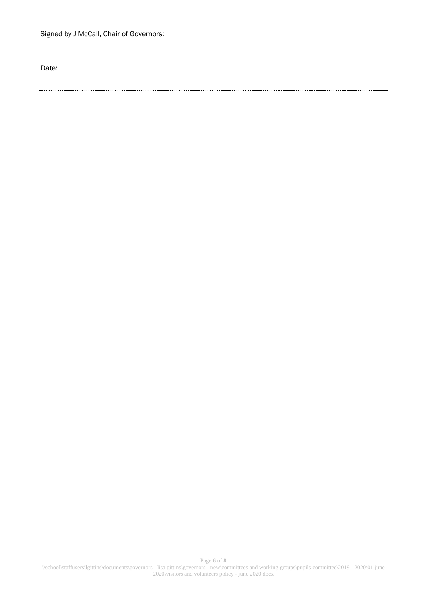Signed by J McCall, Chair of Governors:

Date: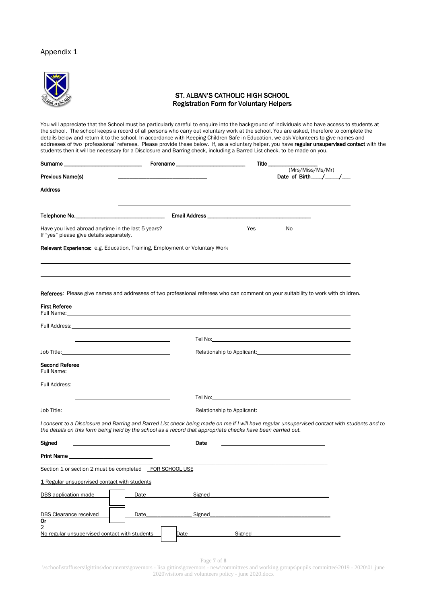#### Appendix 1



You will appreciate that the School must be particularly careful to enquire into the background of individuals who have access to students at the school. The school keeps a record of all persons who carry out voluntary work at the school. You are asked, therefore to complete the details below and return it to the school. In accordance with Keeping Children Safe in Education, we ask Volunteers to give names and addresses of two 'professional' referees. Please provide these below. If, as a voluntary helper, you have regular unsupervised contact with the students then it will be necessary for a Disclosure and Barring check, including a Barred List check, to be made on you.

| Surname_                                                                                                                                                                                                                       | Forename_                         | Title $\_$                                                                                                                                                                                                                                                    |
|--------------------------------------------------------------------------------------------------------------------------------------------------------------------------------------------------------------------------------|-----------------------------------|---------------------------------------------------------------------------------------------------------------------------------------------------------------------------------------------------------------------------------------------------------------|
| Previous Name(s)                                                                                                                                                                                                               |                                   | (Mrs/Miss/Ms/Mr)                                                                                                                                                                                                                                              |
| Address                                                                                                                                                                                                                        |                                   |                                                                                                                                                                                                                                                               |
| Telephone No.                                                                                                                                                                                                                  | the control of the control of the | Email Address ___________                                                                                                                                                                                                                                     |
| Have you lived abroad anytime in the last 5 years?<br>If "yes" please give details separately.                                                                                                                                 |                                   | Yes<br>No                                                                                                                                                                                                                                                     |
| Relevant Experience: e.g. Education, Training, Employment or Voluntary Work                                                                                                                                                    |                                   |                                                                                                                                                                                                                                                               |
| <b>First Referee</b><br>Full Name:                                                                                                                                                                                             |                                   | Referees: Please give names and addresses of two professional referees who can comment on your suitability to work with children.                                                                                                                             |
| Full Address:                                                                                                                                                                                                                  |                                   |                                                                                                                                                                                                                                                               |
|                                                                                                                                                                                                                                |                                   | Tel No: when the contract of the contract of the contract of the contract of the contract of the contract of the contract of the contract of the contract of the contract of the contract of the contract of the contract of t                                |
|                                                                                                                                                                                                                                |                                   | Relationship to Applicant: National According Contract of Applicant Contract of Applicant Contract Contract O                                                                                                                                                 |
| Second Referee<br>Full Name:                                                                                                                                                                                                   |                                   |                                                                                                                                                                                                                                                               |
| Full Address: The Contract of the Contract of the Contract of the Contract of the Contract of the Contract of the Contract of the Contract of the Contract of the Contract of the Contract of the Contract of the Contract of  |                                   |                                                                                                                                                                                                                                                               |
|                                                                                                                                                                                                                                |                                   | Tel No: the contract of the contract of the contract of the contract of the contract of the contract of the contract of the contract of the contract of the contract of the contract of the contract of the contract of the co                                |
| Job Title: The Commission of the Commission of the Commission of the Commission of the Commission of the Commission of the Commission of the Commission of the Commission of the Commission of the Commission of the Commissio |                                   | Relationship to Applicant: Network and Containers and Containers and Containers and Containers and Containers                                                                                                                                                 |
|                                                                                                                                                                                                                                |                                   | I consent to a Disclosure and Barring and Barred List check being made on me if I will have regular unsupervised contact with students and to<br>the details on this form being held by the school as a record that appropriate checks have been carried out. |
| Signed                                                                                                                                                                                                                         |                                   | Date                                                                                                                                                                                                                                                          |
| Print Name                                                                                                                                                                                                                     |                                   |                                                                                                                                                                                                                                                               |
| Section 1 or section 2 must be completed FOR SCHOOL USE                                                                                                                                                                        |                                   |                                                                                                                                                                                                                                                               |
| 1 Regular unsupervised contact with students                                                                                                                                                                                   |                                   |                                                                                                                                                                                                                                                               |
| DBS application made                                                                                                                                                                                                           | Date                              | Signed                                                                                                                                                                                                                                                        |
|                                                                                                                                                                                                                                |                                   |                                                                                                                                                                                                                                                               |

| Print Name                                                      |      |        |        |  |
|-----------------------------------------------------------------|------|--------|--------|--|
| Section 1 or section 2 must be completed FOR SCHOOL USE         |      |        |        |  |
| 1 Regular unsupervised contact with students                    |      |        |        |  |
| DBS application made                                            | Date | Signed |        |  |
| <b>DBS Clearance received</b><br>0r                             | Date | Signed |        |  |
| $\overline{2}$<br>No regular unsupervised contact with students |      | Date   | Signed |  |

Page **7** of **8**